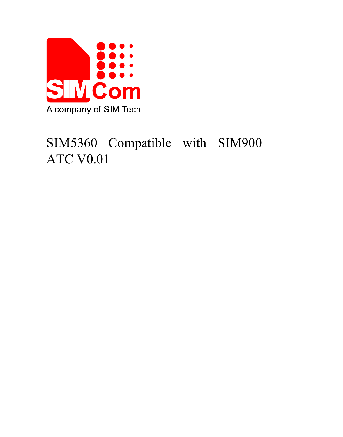

# SIM5360 Compatible with SIM900 ATC V0.01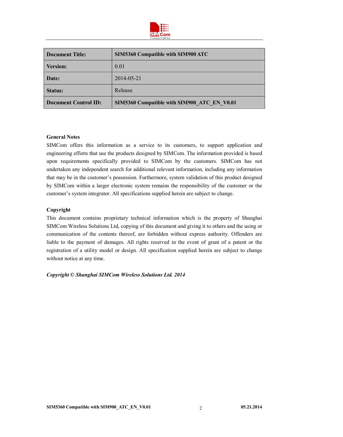

| Document Title:      | <b>SIM5360 Compatible with SIM900 ATC</b>   |
|----------------------|---------------------------------------------|
| <b>Version:</b>      | 0.01                                        |
| Date:                | 2014-05-21                                  |
| <b>Status:</b>       | Release                                     |
| Document Control ID: | SIM5360 Compatible with SIM900 ATC EN V0.01 |

#### **General Notes**

SIMCom offers this information as a service to its customers, to support application and engineering efforts that use the products designed by SIMCom. The information provided is based upon requirements specifically provided to SIMCom by the customers. SIMCom has not undertaken any independent search for additional relevant information, including any information that may be in the customer's possession. Furthermore, system validation of this product designed by SIMCom within a larger electronic system remains the responsibility of the customer or the customer's system integrator. All specifications supplied herein are subject to change.

#### **Copyright**

This document contains proprietary technical information which is the property of Shanghai SIMCom Wireless Solutions Ltd, copying of this document and giving it to others and the using or communication of the contents thereof, are forbidden without express authority. Offenders are liable to the payment of damages. All rights reserved in the event of grant of a patent or the registration of a utility model or design. All specification supplied herein are subject to change without notice at any time.

*Copyright © Shanghai SIMCom Wireless Solutions Ltd. 2014*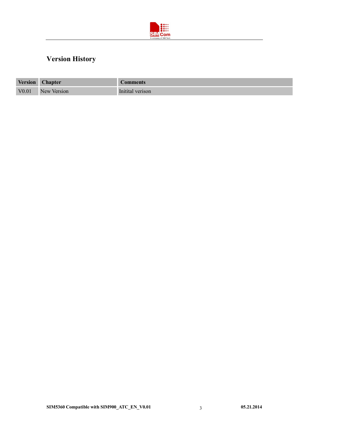

# **Version History**

| <b>Version</b> | <b>Chapter</b> | <b>Comments</b>  |
|----------------|----------------|------------------|
| V0.01          | New Version    | Initital verison |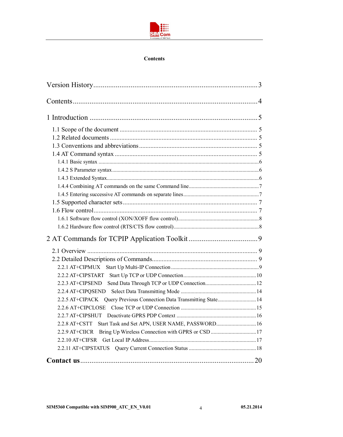

#### **Contents**

| 2.2.5 AT+CIPACK Query Previous Connection Data Transmitting State 14 |  |
|----------------------------------------------------------------------|--|
|                                                                      |  |
|                                                                      |  |
| Start Task and Set APN, USER NAME, PASSWORD 16<br>$2.2.8$ AT+CSTT    |  |
| 2.2.9 AT+CIICR                                                       |  |
|                                                                      |  |
|                                                                      |  |
|                                                                      |  |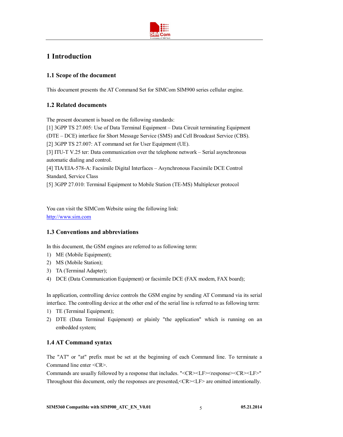

## **1 Introduction**

## **1.1 Scope of the document**

This document presents the AT Command Set for SIMCom SIM900 series cellular engine.

## **1.2 Related documents**

The present document is based on the following standards:

[1] 3GPP TS 27.005: Use of Data Terminal Equipment – Data Circuit terminating Equipment (DTE – DCE) interface for Short Message Service (SMS) and Cell Broadcast Service (CBS). [2] 3GPP TS 27.007: AT command set for User Equipment (UE). [3] ITU-T V.25 ter: Data communication over the telephone network – Serial asynchronous automatic dialing and control. [4] TIA/EIA-578-A: Facsimile Digital Interfaces – Asynchronous Facsimile DCE Control Standard, Service Class [5] 3GPP 27.010: Terminal Equipment to Mobile Station (TE-MS) Multiplexer protocol

You can visit the SIMCom Website using the following link: http://www.sim.com

## **1.3 Conventions and abbreviations**

In this document, the GSM engines are referred to as following term:

- 1) ME (Mobile Equipment);
- 2) MS (Mobile Station);
- 3) TA (Terminal Adapter);
- 4) DCE (Data Communication Equipment) or facsimile DCE (FAX modem, FAX board);

In application, controlling device controls the GSM engine by sending AT Command via its serial interface. The controlling device at the other end of the serial line is referred to as following term:

- 1) TE (Terminal Equipment);
- 2) DTE (Data Terminal Equipment) or plainly "the application" which is running on an embedded system;

## **1.4 AT Command syntax**

The "AT" or "at" prefix must be set at the beginning of each Command line. To terminate a Command line enter <CR>.

Commands are usually followed by a response that includes. " $\langle CR \rangle \langle LF \rangle \langle response \rangle \langle CR \rangle \langle LF \rangle"$ Throughout this document, only the responses are presented,<CR><LF> are omitted intentionally.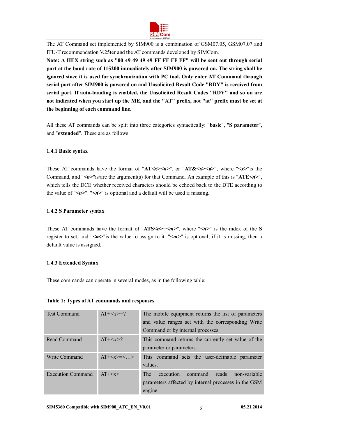

The AT Command set implemented by SIM900 is a combination of GSM07.05, GSM07.07 and ITU-T recommendation V.25ter and the AT commands developed by SIMCom.

**Note: A HEX string such as "00 49 49 49 49 FF FF FF FF" will be sent out through serial port at the baud rate of 115200 immediately after SIM900 is powered on. The string shall be ignored since it is used for synchronization with PC tool. Only enter AT Command through serial port after SIM900 is powered on and Unsolicited Result Code "RDY" is received from serial port. If auto-bauding is enabled, the Unsolicited Result Codes "RDY" and so on are not indicated when you start up the ME, and the "AT" prefix, not "at" prefix must be set at the beginning of each command line.**

All these AT commands can be split into three categories syntactically: "**basic**", "**S parameter**", and "**extended**". These are as follows:

#### **1.4.1 Basic syntax**

These AT commands have the format of " $AT \le x \le n$ <sup>"</sup>, or " $AT \le x \le n$ <sup>-"</sup>, where " $\le x$ <sup>-"</sup> is the Command, and "*<n>*"is/are the argument(s) for that Command. An example of this is "**ATE***<n>*", which tells the DCE whether received characters should be echoed back to the DTE according to the value of "*<n>*". "*<n>*" is optional and a default will be used if missing.

#### **1.4.2 S Parameter syntax**

These AT commands have the format of "**ATS***<n>***=***<m>*", where "*<n>*" is the index of the **S**  register to set, and "*<m>*"is the value to assign to it. "*<m>*" is optional; if it is missing, then a default value is assigned.

#### **1.4.3 Extended Syntax**

These commands can operate in several modes, as in the following table:

#### **Table 1: Types of AT commands and responses**

| <b>Test Command</b>      | $AT+=?$   | The mobile equipment returns the list of parameters<br>and value ranges set with the corresponding Write<br>Command or by internal processes. |
|--------------------------|-----------|-----------------------------------------------------------------------------------------------------------------------------------------------|
| Read Command             | $AT+2$    | This command returns the currently set value of the<br>parameter or parameters.                                                               |
| Write Command            | $AT+=<$ > | This command sets the user-definable parameter<br>values.                                                                                     |
| <b>Execution Command</b> | $AT+$     | <b>The</b><br>execution<br>command<br>reads<br>non-variable<br>parameters affected by internal processes in the GSM<br>engine.                |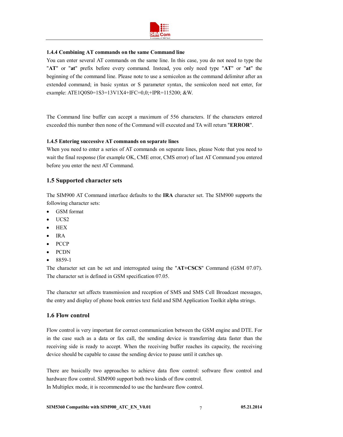

#### **1.4.4 Combining AT commands on the same Command line**

You can enter several AT commands on the same line. In this case, you do not need to type the "**AT**" or "**at**" prefix before every command. Instead, you only need type "**AT**" or "**at**" the beginning of the command line. Please note to use a semicolon as the command delimiter after an extended command; in basic syntax or S parameter syntax, the semicolon need not enter, for example: ATE1Q0S0=1S3=13V1X4+IFC=0,0;+IPR=115200; &W.

The Command line buffer can accept a maximum of 556 characters. If the characters entered exceeded this number then none of the Command will executed and TA will return "**ERROR**".

#### **1.4.5 Entering successive AT commands on separate lines**

When you need to enter a series of AT commands on separate lines, please Note that you need to wait the final response (for example OK, CME error, CMS error) of last AT Command you entered before you enter the next AT Command.

#### **1.5 Supported character sets**

The SIM900 AT Command interface defaults to the **IRA** character set. The SIM900 supports the following character sets:

- GSM format
- $\bullet$  UCS2

- HEX
- IRA
- **PCCP**
- PCDN
- $8859-1$

The character set can be set and interrogated using the "**AT+CSCS**" Command (GSM 07.07). The character set is defined in GSM specification 07.05.

The character set affects transmission and reception of SMS and SMS Cell Broadcast messages, the entry and display of phone book entries text field and SIM Application Toolkit alpha strings.

#### **1.6 Flow control**

Flow control is very important for correct communication between the GSM engine and DTE. For in the case such as a data or fax call, the sending device is transferring data faster than the receiving side is ready to accept. When the receiving buffer reaches its capacity, the receiving device should be capable to cause the sending device to pause until it catches up.

There are basically two approaches to achieve data flow control: software flow control and hardware flow control. SIM900 support both two kinds of flow control. In Multiplex mode, it is recommended to use the hardware flow control.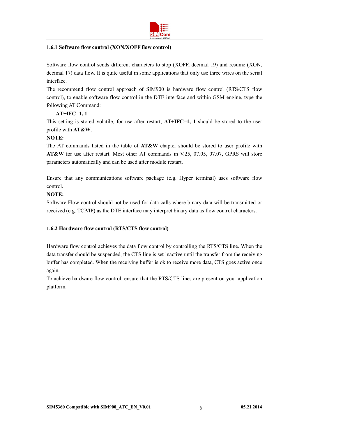

#### **1.6.1 Software flow control (XON/XOFF flow control)**

Software flow control sends different characters to stop (XOFF, decimal 19) and resume (XON, decimal 17) data flow. It is quite useful in some applications that only use three wires on the serial interface.

The recommend flow control approach of SIM900 is hardware flow control (RTS/CTS flow control), to enable software flow control in the DTE interface and within GSM engine, type the following AT Command:

#### **AT+IFC=1, 1**

This setting is stored volatile, for use after restart, **AT+IFC=1, 1** should be stored to the user profile with **AT&W**.

#### **NOTE:**

The AT commands listed in the table of **AT&W** chapter should be stored to user profile with **AT&W** for use after restart. Most other AT commands in V.25, 07.05, 07.07, GPRS will store parameters automatically and can be used after module restart.

Ensure that any communications software package (e.g. Hyper terminal) uses software flow control.

#### **NOTE:**

Software Flow control should not be used for data calls where binary data will be transmitted or received (e.g. TCP/IP) as the DTE interface may interpret binary data as flow control characters.

#### **1.6.2 Hardware flow control (RTS/CTS flow control)**

Hardware flow control achieves the data flow control by controlling the RTS/CTS line. When the data transfer should be suspended, the CTS line is set inactive until the transfer from the receiving buffer has completed. When the receiving buffer is ok to receive more data, CTS goes active once again.

To achieve hardware flow control, ensure that the RTS/CTS lines are present on your application platform.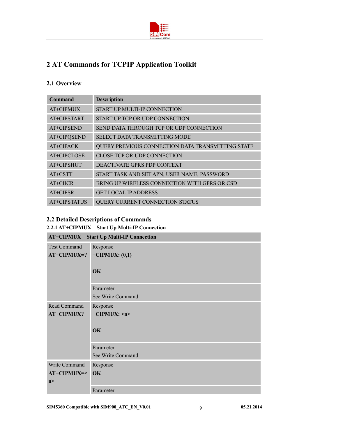

## **2 AT Commands for TCPIP Application Toolkit**

## **2.1 Overview**

| Command      | <b>Description</b>                                |
|--------------|---------------------------------------------------|
| AT+CIPMUX    | START UP MULTI-IP CONNECTION                      |
| AT+CIPSTART  | START UP TCP OR UDP CONNECTION                    |
| AT+CIPSEND   | SEND DATA THROUGH TCP OR UDP CONNECTION           |
| AT+CIPQSEND  | SELECT DATA TRANSMITTING MODE                     |
| AT+CIPACK    | QUERY PREVIOUS CONNECTION DATA TRANSMITTING STATE |
| AT+CIPCLOSE  | CLOSE TCP OR UDP CONNECTION                       |
| AT+CIPSHUT   | DEACTIVATE GPRS PDP CONTEXT                       |
| AT+CSTT      | START TASK AND SET APN, USER NAME, PASSWORD       |
| AT+CIICR     | BRING UP WIRELESS CONNECTION WITH GPRS OR CSD     |
| $AT+CIFSR$   | <b>GET LOCAL IP ADDRESS</b>                       |
| AT+CIPSTATUS | QUERY CURRENT CONNECTION STATUS                   |

## **2.2 Detailed Descriptions of Commands**

## **2.2.1 AT+CIPMUX Start Up Multi-IP Connection**

| <b>AT+CIPMUX</b><br><b>Start Up Multi-IP Connection</b> |                    |  |
|---------------------------------------------------------|--------------------|--|
| <b>Test Command</b>                                     | Response           |  |
| $AT+CIPMUX=?$                                           | $+CIPMUX: (0,1)$   |  |
|                                                         | OK                 |  |
|                                                         | Parameter          |  |
|                                                         | See Write Command  |  |
| Read Command                                            | Response           |  |
| <b>AT+CIPMUX?</b>                                       | $+CIPMUX:$ <n></n> |  |
|                                                         | OK                 |  |
|                                                         | Parameter          |  |
|                                                         | See Write Command  |  |
| Write Command                                           | Response           |  |
| AT+CIPMUX=<                                             | OK                 |  |
| n >                                                     |                    |  |
|                                                         | Parameter          |  |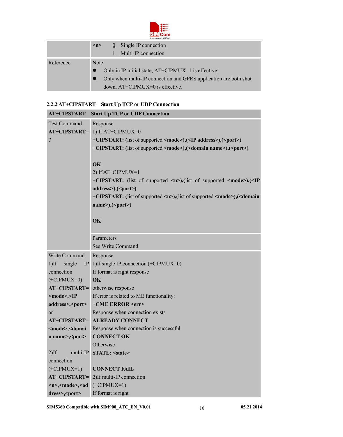

|           |          | A company of SIM Tech                                                                                                                                        |
|-----------|----------|--------------------------------------------------------------------------------------------------------------------------------------------------------------|
|           | $\leq n$ | Single IP connection<br>$\bf{0}$<br>Multi-IP connection                                                                                                      |
| Reference | Note     | Only in IP initial state, AT+CIPMUX=1 is effective;<br>Only when multi-IP connection and GPRS application are both shut<br>down, $AT+CIPMUX=0$ is effective. |

## **2.2.2 AT+CIPSTART Start Up TCP or UDP Connection**

| AT+CIPSTART                                                                                                 | <b>Start Up TCP or UDP Connection</b>                                                               |
|-------------------------------------------------------------------------------------------------------------|-----------------------------------------------------------------------------------------------------|
| <b>Test Command</b>                                                                                         | Response                                                                                            |
| AT+CIPSTART=                                                                                                | 1) If $AT+CIPMUX=0$                                                                                 |
| ?                                                                                                           | +CIPSTART: (list of supported <mode>),(<ip address="">),(<port>)</port></ip></mode>                 |
|                                                                                                             | +CIPSTART: (list of supported <mode>),(<domain name="">),(<port>)</port></domain></mode>            |
|                                                                                                             |                                                                                                     |
|                                                                                                             | OK                                                                                                  |
|                                                                                                             | 2) If AT+CIPMUX=1                                                                                   |
|                                                                                                             | +CIPSTART: (list of supported <n>),(list of supported <mode>),(<ip< th=""></ip<></mode></n>         |
|                                                                                                             | address>),( <port>)</port>                                                                          |
|                                                                                                             | +CIPSTART: (list of supported <n>),(list of supported <mode>),(<domain< th=""></domain<></mode></n> |
|                                                                                                             | name>, ( <port>)</port>                                                                             |
|                                                                                                             |                                                                                                     |
|                                                                                                             | OK                                                                                                  |
|                                                                                                             |                                                                                                     |
|                                                                                                             | Parameters                                                                                          |
|                                                                                                             | See Write Command                                                                                   |
| Write Command                                                                                               | Response                                                                                            |
| $1$ )If<br>single<br>IP                                                                                     | 1) If single IP connection (+CIPMUX=0)                                                              |
| connection                                                                                                  | If format is right response                                                                         |
| $(+CIPMUX=0)$                                                                                               | <b>OK</b>                                                                                           |
| AT+CIPSTART=                                                                                                | otherwise response                                                                                  |
| <mode>,<ip< th=""><th>If error is related to ME functionality:<br/>+CME ERROR <err></err></th></ip<></mode> | If error is related to ME functionality:<br>+CME ERROR <err></err>                                  |
| address>, <port><br/>or</port>                                                                              | Response when connection exists                                                                     |
|                                                                                                             | <b>AT+CIPSTART= ALREADY CONNECT</b>                                                                 |
| <mode>,<domai< th=""><th>Response when connection is successful</th></domai<></mode>                        | Response when connection is successful                                                              |
| n name>, <port></port>                                                                                      | <b>CONNECT OK</b>                                                                                   |
|                                                                                                             | Otherwise                                                                                           |
| $2)$ If<br>multi-IP                                                                                         | <b>STATE: <state></state></b>                                                                       |
| connection                                                                                                  |                                                                                                     |
| $(+CIPMUX=1)$                                                                                               | <b>CONNECT FAIL</b>                                                                                 |
| AT+CIPSTART=                                                                                                | 2) If multi-IP connection                                                                           |
| <n>,<mode>,<ad< th=""><th><math>(+CIPMUX=1)</math></th></ad<></mode></n>                                    | $(+CIPMUX=1)$                                                                                       |
| dress>, <port></port>                                                                                       | If format is right                                                                                  |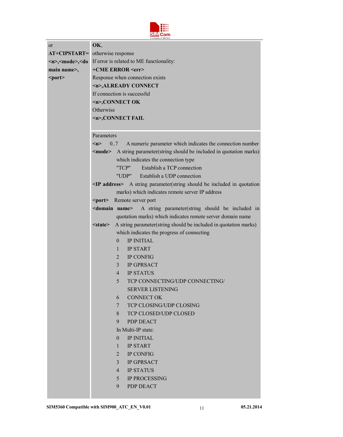

| <sub>or</sub> | OK,                                                                                                                        |  |
|---------------|----------------------------------------------------------------------------------------------------------------------------|--|
|               | AT+CIPSTART= otherwise response                                                                                            |  |
|               | $\langle n \rangle$ , $\langle \text{mode} \rangle$ , $\langle \text{do} \rangle$ If error is related to ME functionality: |  |
| main name>,   | +CME ERROR <err></err>                                                                                                     |  |
| <port></port> | Response when connection exists                                                                                            |  |
|               | <n>,ALREADY CONNECT</n>                                                                                                    |  |
|               | If connection is successful                                                                                                |  |
|               | $\leq n$ >, CONNECT OK                                                                                                     |  |
|               | Otherwise                                                                                                                  |  |
|               | <n>,CONNECT FAIL</n>                                                                                                       |  |
|               |                                                                                                                            |  |
|               | Parameters                                                                                                                 |  |
|               | A numeric parameter which indicates the connection number<br>m<br>0.7                                                      |  |
|               | <mode> A string parameter(string should be included in quotation marks)</mode>                                             |  |
|               | which indicates the connection type                                                                                        |  |
|               | "TCP"<br>Establish a TCP connection                                                                                        |  |
|               | "UDP" Establish a UDP connection                                                                                           |  |
|               | $\leq$ IP address> A string parameter(string should be included in quotation                                               |  |
|               | marks) which indicates remote server IP address                                                                            |  |
|               | <port> Remote server port</port>                                                                                           |  |
|               | A string parameter(string should be included in<br><domain name=""></domain>                                               |  |
|               | quotation marks) which indicates remote server domain name                                                                 |  |
|               | A string parameter(string should be included in quotation marks)<br>$<$ state $>$                                          |  |
|               | which indicates the progress of connecting                                                                                 |  |
|               | <b>IP INITIAL</b><br>$\theta$                                                                                              |  |
|               | <b>IP START</b><br>$\mathbf{1}$                                                                                            |  |
|               | $\overline{2}$<br><b>IP CONFIG</b>                                                                                         |  |
|               | $\overline{3}$<br><b>IP GPRSACT</b>                                                                                        |  |
|               | <b>IP STATUS</b><br>$\overline{4}$                                                                                         |  |
|               | TCP CONNECTING/UDP CONNECTING/<br>5.<br><b>SERVER LISTENING</b>                                                            |  |
|               | <b>CONNECT OK</b><br>6                                                                                                     |  |
|               | $\overline{7}$<br>TCP CLOSING/UDP CLOSING                                                                                  |  |
|               | TCP CLOSED/UDP CLOSED<br>8                                                                                                 |  |
|               | <b>PDP DEACT</b><br>9                                                                                                      |  |
|               | In Multi-IP state:                                                                                                         |  |
|               | <b>IP INITIAL</b><br>$\theta$                                                                                              |  |
|               | <b>IP START</b><br>$\mathbf{1}$                                                                                            |  |
|               | 2<br><b>IP CONFIG</b>                                                                                                      |  |
|               | <b>IP GPRSACT</b><br>$\overline{3}$                                                                                        |  |
|               | <b>IP STATUS</b><br>$\overline{4}$                                                                                         |  |
|               | <b>IP PROCESSING</b><br>5                                                                                                  |  |
|               | 9<br>PDP DEACT                                                                                                             |  |
|               |                                                                                                                            |  |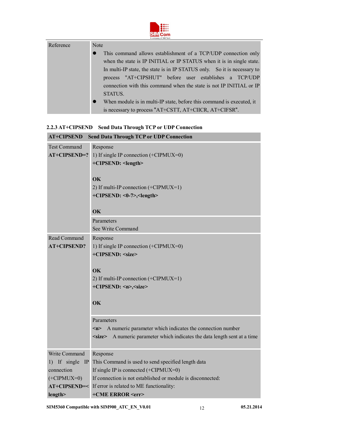

| Reference | Note                                                                               |  |
|-----------|------------------------------------------------------------------------------------|--|
|           | This command allows establishment of a TCP/UDP connection only<br>$\bullet$        |  |
|           | when the state is IP INITIAL or IP STATUS when it is in single state.              |  |
|           | In multi-IP state, the state is in IP STATUS only. So it is necessary to           |  |
|           | process "AT+CIPSHUT" before user establishes a TCP/UDP                             |  |
|           | connection with this command when the state is not IP INITIAL or IP                |  |
|           | STATUS.                                                                            |  |
|           | When module is in multi-IP state, before this command is executed, it<br>$\bullet$ |  |
|           | is necessary to process "AT+CSTT, AT+CIICR, AT+CIFSR".                             |  |

## **2.2.3 AT+CIPSEND Send Data Through TCP or UDP Connection**

| <b>AT+CIPSEND</b><br><b>Send Data Through TCP or UDP Connection</b> |                                                                                  |  |
|---------------------------------------------------------------------|----------------------------------------------------------------------------------|--|
| <b>Test Command</b>                                                 | Response                                                                         |  |
| $AT+CIPSEND=?$                                                      | 1) If single IP connection (+CIPMUX=0)                                           |  |
|                                                                     | +CIPSEND: <length></length>                                                      |  |
|                                                                     |                                                                                  |  |
|                                                                     | OK                                                                               |  |
|                                                                     | 2) If multi-IP connection (+CIPMUX=1)                                            |  |
|                                                                     | +CIPSEND: <0-7>, <length></length>                                               |  |
|                                                                     |                                                                                  |  |
|                                                                     | OK                                                                               |  |
|                                                                     | Parameters                                                                       |  |
|                                                                     | See Write Command                                                                |  |
| Read Command                                                        | Response                                                                         |  |
| <b>AT+CIPSEND?</b>                                                  | 1) If single IP connection (+CIPMUX=0)                                           |  |
|                                                                     | +CIPSEND: <size></size>                                                          |  |
|                                                                     |                                                                                  |  |
|                                                                     | $\alpha$                                                                         |  |
|                                                                     | 2) If multi-IP connection $(+CIPMUX=1)$                                          |  |
|                                                                     | +CIPSEND: <n>,<size></size></n>                                                  |  |
|                                                                     |                                                                                  |  |
|                                                                     | OK                                                                               |  |
|                                                                     |                                                                                  |  |
|                                                                     | Parameters                                                                       |  |
|                                                                     | A numeric parameter which indicates the connection number<br>m                   |  |
|                                                                     | <size> A numeric parameter which indicates the data length sent at a time</size> |  |
| Write Command                                                       | Response                                                                         |  |
| 1) If single<br>$\mathbb{P}$                                        | This Command is used to send specified length data                               |  |
| connection                                                          | If single IP is connected $(+CIPMUX=0)$                                          |  |
| $(+CIPMUX=0)$                                                       | If connection is not established or module is disconnected:                      |  |
|                                                                     | AT+CIPSEND=< If error is related to ME functionality:                            |  |
| length>                                                             | +CME ERROR <err></err>                                                           |  |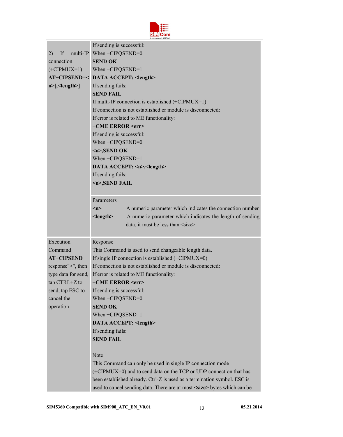

|                     | A company of SIM Tech                                                           |  |  |
|---------------------|---------------------------------------------------------------------------------|--|--|
|                     | If sending is successful:                                                       |  |  |
| If<br>2)            | multi-IP When $+CIPQSEND=0$                                                     |  |  |
| connection          | <b>SEND OK</b>                                                                  |  |  |
| $(+CIPMUX=1)$       | When $+CIPQSEND=1$                                                              |  |  |
|                     | AT+CIPSEND=< DATA ACCEPT: <length></length>                                     |  |  |
| $n$ >[, < length >] | If sending fails:                                                               |  |  |
|                     | <b>SEND FAIL</b>                                                                |  |  |
|                     | If multi-IP connection is established $(+CIPMUX=1)$                             |  |  |
|                     | If connection is not established or module is disconnected:                     |  |  |
|                     | If error is related to ME functionality:                                        |  |  |
|                     | +CME ERROR <err></err>                                                          |  |  |
|                     | If sending is successful:                                                       |  |  |
|                     | When +CIPQSEND=0                                                                |  |  |
|                     | $\langle n \rangle$ , SEND OK                                                   |  |  |
|                     | When $+CIPQSEND=1$                                                              |  |  |
|                     | DATA ACCEPT: <n>,<length></length></n>                                          |  |  |
|                     | If sending fails:                                                               |  |  |
|                     | <n>,SEND FAIL</n>                                                               |  |  |
|                     |                                                                                 |  |  |
|                     | Parameters                                                                      |  |  |
|                     | A numeric parameter which indicates the connection number<br>m                  |  |  |
|                     | $<$ length $>$<br>A numeric parameter which indicates the length of sending     |  |  |
|                     | data, it must be less than <size></size>                                        |  |  |
|                     |                                                                                 |  |  |
| Execution           | Response                                                                        |  |  |
| Command             | This Command is used to send changeable length data.                            |  |  |
| <b>AT+CIPSEND</b>   | If single IP connection is established (+CIPMUX=0)                              |  |  |
| response">", then   | If connection is not established or module is disconnected:                     |  |  |
| type data for send, | If error is related to ME functionality:                                        |  |  |
| tap CTRL+Z to       | +CME ERROR <err></err>                                                          |  |  |
| send, tap ESC to    | If sending is successful:                                                       |  |  |
| cancel the          | When $+CIPOSEND=0$                                                              |  |  |
| operation           | <b>SEND OK</b>                                                                  |  |  |
|                     | When +CIPQSEND=1                                                                |  |  |
|                     | DATA ACCEPT: <length></length>                                                  |  |  |
|                     | If sending fails:                                                               |  |  |
|                     | <b>SEND FAIL</b>                                                                |  |  |
|                     |                                                                                 |  |  |
|                     | Note                                                                            |  |  |
|                     | This Command can only be used in single IP connection mode                      |  |  |
|                     | (+CIPMUX=0) and to send data on the TCP or UDP connection that has              |  |  |
|                     | been established already. Ctrl-Z is used as a termination symbol. ESC is        |  |  |
|                     | used to cancel sending data. There are at most <size> bytes which can be</size> |  |  |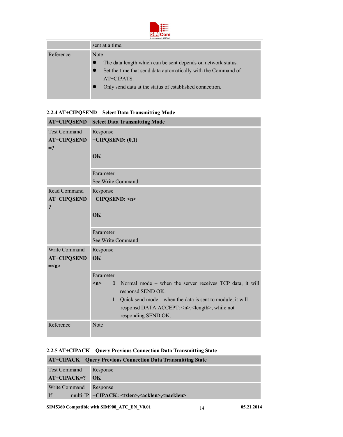

|           | <b>LI PAILIPARTE AL ABRIT LONG</b>                                                                                                                                                                                          |
|-----------|-----------------------------------------------------------------------------------------------------------------------------------------------------------------------------------------------------------------------------|
|           | sent at a time.                                                                                                                                                                                                             |
| Reference | Note<br>The data length which can be sent depends on network status.<br>Set the time that send data automatically with the Command of<br>$\bullet$<br>AT+CIPATS.<br>Only send data at the status of established connection. |

| 2.2.4 AT+CIPQSEND Select Data Transmitting Mode |
|-------------------------------------------------|
|                                                 |

| <b>AT+CIPQSEND</b>                                   | <b>Select Data Transmitting Mode</b>                                                                                                                                                                                                                                   |  |  |
|------------------------------------------------------|------------------------------------------------------------------------------------------------------------------------------------------------------------------------------------------------------------------------------------------------------------------------|--|--|
| <b>Test Command</b><br><b>AT+CIPQSEND</b><br>$=$ ?   | Response<br>$+CIPOSEND$ : (0,1)<br>OK                                                                                                                                                                                                                                  |  |  |
|                                                      | Parameter<br>See Write Command                                                                                                                                                                                                                                         |  |  |
| Read Command<br><b>AT+CIPQSEND</b><br>$\ddot{\cdot}$ | Response<br>+CIPQSEND: <n><br/><b>OK</b></n>                                                                                                                                                                                                                           |  |  |
|                                                      | Parameter<br>See Write Command                                                                                                                                                                                                                                         |  |  |
| Write Command<br><b>AT+CIPQSEND</b><br>$=\leq n$     | Response<br>OK<br>Parameter                                                                                                                                                                                                                                            |  |  |
|                                                      |                                                                                                                                                                                                                                                                        |  |  |
|                                                      | Normal mode – when the server receives TCP data, it will<br>< n ><br>$\theta$<br>responsd SEND OK.<br>Quick send mode – when the data is sent to module, it will<br>$\mathbf{1}$<br>responsd DATA ACCEPT: <n>,<length>, while not<br/>responding SEND OK.</length></n> |  |  |
| Reference                                            | Note                                                                                                                                                                                                                                                                   |  |  |

## **2.2.5 AT+CIPACK Query Previous Connection Data Transmitting State**

| <b>AT+CIPACK</b> Query Previous Connection Data Transmitting State |                                                                         |  |
|--------------------------------------------------------------------|-------------------------------------------------------------------------|--|
| Test Command                                                       | Response                                                                |  |
| $AT+CIPACK=?$ OK                                                   |                                                                         |  |
| Write Command                                                      | Response                                                                |  |
| If                                                                 | multi-IP +CIPACK: <txlen>,<acklen>,<nacklen></nacklen></acklen></txlen> |  |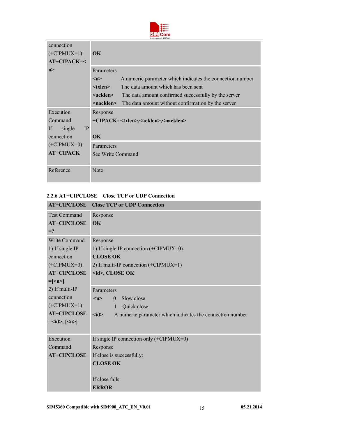

| connection<br>$(+CIPMUX=1)$<br>$AT+CIPACK=<$ | OK.                                                                              |  |
|----------------------------------------------|----------------------------------------------------------------------------------|--|
| n                                            | Parameters                                                                       |  |
|                                              | A numeric parameter which indicates the connection number<br>$\langle n \rangle$ |  |
|                                              | The data amount which has been sent<br>$<$ txlen $>$                             |  |
|                                              | The data amount confirmed successfully by the server<br><acklen></acklen>        |  |
|                                              | The data amount without confirmation by the server<br><nacklen></nacklen>        |  |
| Execution                                    | Response                                                                         |  |
| Command                                      | +CIPACK: <txlen>,<acklen>,<nacklen></nacklen></acklen></txlen>                   |  |
| IP<br>If<br>single                           |                                                                                  |  |
| connection                                   | $\overline{\textbf{OK}}$                                                         |  |
| $(+CIPMUX=0)$                                | Parameters                                                                       |  |
| <b>AT+CIPACK</b>                             | See Write Command                                                                |  |
| Reference                                    | Note                                                                             |  |

#### **2.2.6 AT+CIPCLOSE Close TCP or UDP Connection**

| <b>AT+CIPCLOSE</b>    | <b>Close TCP or UDP Connection</b>                                            |
|-----------------------|-------------------------------------------------------------------------------|
| <b>Test Command</b>   | Response                                                                      |
| <b>AT+CIPCLOSE</b>    | OK                                                                            |
| $=$ ?                 |                                                                               |
| <b>Write Command</b>  | Response                                                                      |
| 1) If single IP       | 1) If single IP connection $(+CIPMUX=0)$                                      |
| connection            | <b>CLOSE OK</b>                                                               |
| $(+CIPMUX=0)$         | 2) If multi-IP connection $(+CIPMUX=1)$                                       |
| <b>AT+CIPCLOSE</b>    | $\langle$ id>, CLOSE OK                                                       |
| $=$ [ $\leq$ n $>$ ]  |                                                                               |
| 2) If multi-IP        | Parameters                                                                    |
| connection            | Slow close<br>$\langle n \rangle$<br>$\mathbf{0}$                             |
| $(+CIPMUX=1)$         | Quick close<br>1                                                              |
| <b>AT+CIPCLOSE</b>    | $\leq$ id $\geq$<br>A numeric parameter which indicates the connection number |
| $=\leq id$ , $\leq n$ |                                                                               |
|                       |                                                                               |
| Execution             | If single IP connection only $(+CIPMUX=0)$                                    |
| Command               | Response                                                                      |
| <b>AT+CIPCLOSE</b>    | If close is successfully:                                                     |
|                       | <b>CLOSE OK</b>                                                               |
|                       |                                                                               |
|                       | If close fails:                                                               |
|                       | <b>ERROR</b>                                                                  |

÷,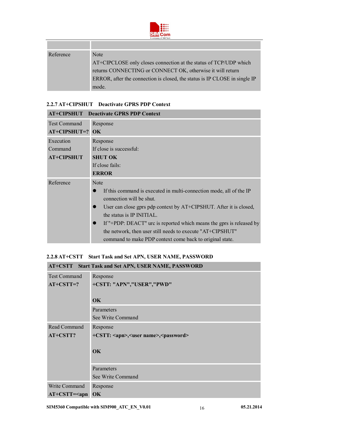

| Reference | Note                                                                       |
|-----------|----------------------------------------------------------------------------|
|           | AT+CIPCLOSE only closes connection at the status of TCP/UDP which          |
|           | returns CONNECTING or CONNECT OK, otherwise it will return                 |
|           | ERROR, after the connection is closed, the status is IP CLOSE in single IP |
|           | mode.                                                                      |

#### **2.2.7 AT+CIPSHUT Deactivate GPRS PDP Context**

r

|                     | <b>AT+CIPSHUT</b> Deactivate GPRS PDP Context                                     |  |
|---------------------|-----------------------------------------------------------------------------------|--|
| <b>Test Command</b> | Response                                                                          |  |
| AT+CIPSHUT=? OK     |                                                                                   |  |
| Execution           | Response                                                                          |  |
| Command             | If close is successful:                                                           |  |
| <b>AT+CIPSHUT</b>   | <b>SHUT OK</b>                                                                    |  |
|                     | If close fails:                                                                   |  |
|                     | <b>ERROR</b>                                                                      |  |
| Reference           | Note                                                                              |  |
|                     | If this command is executed in multi-connection mode, all of the IP               |  |
|                     | connection will be shut.                                                          |  |
|                     | User can close gprs pdp context by AT+CIPSHUT. After it is closed,<br>$\bullet$   |  |
|                     | the status is IP INITIAL.                                                         |  |
|                     | If "+PDP: DEACT" urc is reported which means the gprs is released by<br>$\bullet$ |  |
|                     | the network, then user still needs to execute "AT+CIPSHUT"                        |  |
|                     | command to make PDP context come back to original state.                          |  |

#### **2.2.8 AT+CSTT Start Task and Set APN, USER NAME, PASSWORD**

|                     | AT+CSTT Start Task and Set APN, USER NAME, PASSWORD            |  |
|---------------------|----------------------------------------------------------------|--|
| <b>Test Command</b> | Response                                                       |  |
| $AT+CSTT=?$         | +CSTT: "APN","USER","PWD"                                      |  |
|                     | <b>OK</b>                                                      |  |
|                     | Parameters                                                     |  |
|                     | See Write Command                                              |  |
| Read Command        | Response                                                       |  |
| AT+CSTT?            | +CSTT: <apn>,<user name="">,<password></password></user></apn> |  |
|                     |                                                                |  |
|                     | <b>OK</b>                                                      |  |
|                     | Parameters                                                     |  |
|                     | See Write Command                                              |  |
| Write Command       | Response                                                       |  |
| $AT+CSTT=apn$       | OK                                                             |  |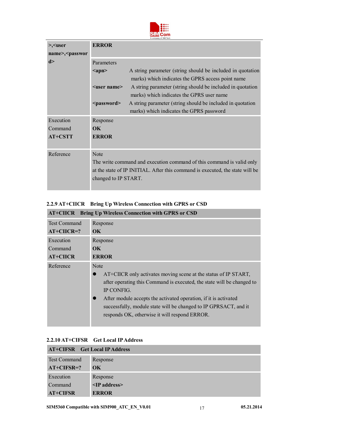

| >, <user< th=""><th><b>ERROR</b></th><th></th></user<> | <b>ERROR</b>             |                                                                                                                 |
|--------------------------------------------------------|--------------------------|-----------------------------------------------------------------------------------------------------------------|
| name>, <passwor< th=""><th></th><th></th></passwor<>   |                          |                                                                                                                 |
| d >                                                    | Parameters               |                                                                                                                 |
|                                                        | $\langle$ apn $\rangle$  | A string parameter (string should be included in quotation<br>marks) which indicates the GPRS access point name |
|                                                        | $user name>$             | A string parameter (string should be included in quotation                                                      |
|                                                        |                          | marks) which indicates the GPRS user name                                                                       |
|                                                        | <password></password>    | A string parameter (string should be included in quotation                                                      |
|                                                        |                          | marks) which indicates the GPRS password                                                                        |
| Execution                                              | Response                 |                                                                                                                 |
| Command                                                | $\overline{\textbf{OK}}$ |                                                                                                                 |
| <b>AT+CSTT</b>                                         | <b>ERROR</b>             |                                                                                                                 |
|                                                        |                          |                                                                                                                 |
| Reference                                              | Note                     |                                                                                                                 |
|                                                        |                          |                                                                                                                 |

## **2.2.9 AT+CIICR Bring Up Wireless Connection with GPRS or CSD AT+CIICR Bring Up Wireless Connection with GPRS or CSD**

| $\mathbf{A}$ chen bing up withis connection with Grive to $\mathbf{C}$ |                                                                                                                                                                                                                                                                                                                                                          |  |
|------------------------------------------------------------------------|----------------------------------------------------------------------------------------------------------------------------------------------------------------------------------------------------------------------------------------------------------------------------------------------------------------------------------------------------------|--|
| <b>Test Command</b>                                                    | Response                                                                                                                                                                                                                                                                                                                                                 |  |
| $AT+CIICR=?$                                                           | OK.                                                                                                                                                                                                                                                                                                                                                      |  |
| Execution                                                              | Response                                                                                                                                                                                                                                                                                                                                                 |  |
| Command                                                                | OK.                                                                                                                                                                                                                                                                                                                                                      |  |
| <b>AT+CIICR</b>                                                        | <b>ERROR</b>                                                                                                                                                                                                                                                                                                                                             |  |
| Reference                                                              | Note<br>AT+CIICR only activates moving scene at the status of IP START,<br>after operating this Command is executed, the state will be changed to<br>IP CONFIG.<br>After module accepts the activated operation, if it is activated<br>successfully, module state will be changed to IP GPRSACT, and it<br>responds OK, otherwise it will respond ERROR. |  |

### **2.2.10 AT+CIFSR Get Local IP Address**

| <b>AT+CIFSR</b> Get Local IP Address |                          |  |
|--------------------------------------|--------------------------|--|
| <b>Test Command</b>                  | Response                 |  |
| $AT+CIFSR=?$                         | $\overline{\textbf{OK}}$ |  |
| Execution                            | Response                 |  |
| Command                              | $\leq$ P address>        |  |
| <b>AT+CIFSR</b>                      | <b>ERROR</b>             |  |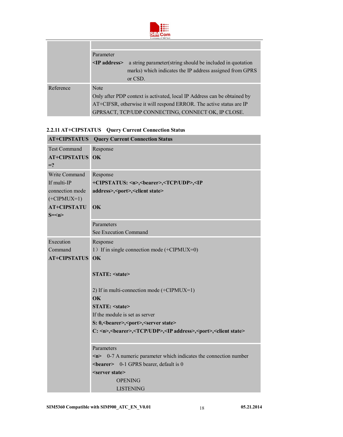

| <b><i>CONTRACTLY OF OTHER LOCAL</i></b> |                                                                          |                                                            |  |  |
|-----------------------------------------|--------------------------------------------------------------------------|------------------------------------------------------------|--|--|
|                                         |                                                                          |                                                            |  |  |
|                                         | Parameter                                                                |                                                            |  |  |
|                                         | $\leq$ IP address>                                                       | a string parameter (string should be included in quotation |  |  |
|                                         |                                                                          | marks) which indicates the IP address assigned from GPRS   |  |  |
|                                         |                                                                          | or CSD.                                                    |  |  |
| Reference                               | <b>Note</b>                                                              |                                                            |  |  |
|                                         | Only after PDP context is activated, local IP Address can be obtained by |                                                            |  |  |
|                                         | AT+CIFSR, otherwise it will respond ERROR. The active status are IP      |                                                            |  |  |
|                                         |                                                                          | GPRSACT, TCP/UDP CONNECTING, CONNECT OK, IP CLOSE.         |  |  |

## **2.2.11 AT+CIPSTATUS Query Current Connection Status**

| <b>AT+CIPSTATUS</b> | <b>Query Current Connection Status</b>                                                                                                                                     |  |  |  |
|---------------------|----------------------------------------------------------------------------------------------------------------------------------------------------------------------------|--|--|--|
| <b>Test Command</b> | Response                                                                                                                                                                   |  |  |  |
| <b>AT+CIPSTATUS</b> | OK                                                                                                                                                                         |  |  |  |
| $=$ ?               |                                                                                                                                                                            |  |  |  |
| Write Command       | Response                                                                                                                                                                   |  |  |  |
| If multi-IP         | +CIPSTATUS: <n>,<br/>bearer&gt;,<tcp udp="">,<ip< td=""></ip<></tcp></n>                                                                                                   |  |  |  |
| connection mode     | address>, <port>,<client state=""></client></port>                                                                                                                         |  |  |  |
| $(+CIPMUX=1)$       |                                                                                                                                                                            |  |  |  |
| <b>AT+CIPSTATU</b>  | OK                                                                                                                                                                         |  |  |  |
| $S=\leq n\geq$      |                                                                                                                                                                            |  |  |  |
|                     | Parameters                                                                                                                                                                 |  |  |  |
|                     | See Execution Command                                                                                                                                                      |  |  |  |
| Execution           | Response                                                                                                                                                                   |  |  |  |
| Command             | 1) If in single connection mode (+CIPMUX=0)                                                                                                                                |  |  |  |
| <b>AT+CIPSTATUS</b> | OK                                                                                                                                                                         |  |  |  |
|                     |                                                                                                                                                                            |  |  |  |
|                     | <b>STATE: <state></state></b>                                                                                                                                              |  |  |  |
|                     |                                                                                                                                                                            |  |  |  |
|                     | 2) If in multi-connection mode $(+CIPMUX=1)$                                                                                                                               |  |  |  |
|                     | OK                                                                                                                                                                         |  |  |  |
|                     | <b>STATE: <state></state></b><br>If the module is set as server                                                                                                            |  |  |  |
|                     |                                                                                                                                                                            |  |  |  |
|                     | S: 0,<br>bearer>, <port>,<server state=""><br/>C: <n>,<br/>bearer&gt;,<tcp udp="">,<ip address="">,<port>,<client state=""></client></port></ip></tcp></n></server></port> |  |  |  |
|                     |                                                                                                                                                                            |  |  |  |
|                     | Parameters                                                                                                                                                                 |  |  |  |
|                     | 0-7 A numeric parameter which indicates the connection number<br>m<br><br><b>bearer&gt;</b> 0-1 GPRS bearer, default is 0                                                  |  |  |  |
|                     |                                                                                                                                                                            |  |  |  |
|                     | <server state=""></server>                                                                                                                                                 |  |  |  |
|                     | <b>OPENING</b>                                                                                                                                                             |  |  |  |
|                     | <b>LISTENING</b>                                                                                                                                                           |  |  |  |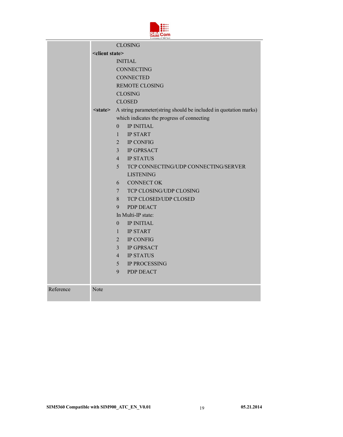|  | ll'/lCom              |  |
|--|-----------------------|--|
|  | A company of SIM Tech |  |

|           | <b>CLOSING</b>             |                                                                  |  |
|-----------|----------------------------|------------------------------------------------------------------|--|
|           | <client state=""></client> |                                                                  |  |
|           |                            | <b>INITIAL</b>                                                   |  |
|           |                            | <b>CONNECTING</b>                                                |  |
|           |                            | <b>CONNECTED</b>                                                 |  |
|           |                            | <b>REMOTE CLOSING</b>                                            |  |
|           |                            | <b>CLOSING</b>                                                   |  |
|           |                            | <b>CLOSED</b>                                                    |  |
|           | $<$ state $>$              | A string parameter(string should be included in quotation marks) |  |
|           |                            | which indicates the progress of connecting                       |  |
|           |                            | <b>IP INITIAL</b><br>$\overline{0}$                              |  |
|           |                            | <b>IP START</b><br>$\mathbf{1}$                                  |  |
|           |                            | <b>IP CONFIG</b><br>$\overline{2}$                               |  |
|           |                            | $\overline{3}$<br><b>IP GPRSACT</b>                              |  |
|           |                            | $\overline{4}$<br><b>IP STATUS</b>                               |  |
|           |                            | 5 <sup>5</sup><br>TCP CONNECTING/UDP CONNECTING/SERVER           |  |
|           |                            | <b>LISTENING</b>                                                 |  |
|           |                            | <b>CONNECT OK</b><br>6                                           |  |
|           |                            | TCP CLOSING/UDP CLOSING<br>$7\degree$                            |  |
|           |                            | TCP CLOSED/UDP CLOSED<br>8                                       |  |
|           |                            | 9<br>PDP DEACT                                                   |  |
|           |                            | In Multi-IP state:                                               |  |
|           |                            | <b>IP INITIAL</b><br>$\Omega$                                    |  |
|           |                            | <b>IP START</b><br>$\mathbf{1}$                                  |  |
|           |                            | IP CONFIG<br>$\overline{2}$                                      |  |
|           |                            | <b>IP GPRSACT</b><br>$\overline{3}$                              |  |
|           |                            | $\overline{4}$<br><b>IP STATUS</b>                               |  |
|           |                            | 5<br><b>IP PROCESSING</b>                                        |  |
|           |                            | 9<br>PDP DEACT                                                   |  |
|           |                            |                                                                  |  |
| Reference | Note                       |                                                                  |  |
|           |                            |                                                                  |  |